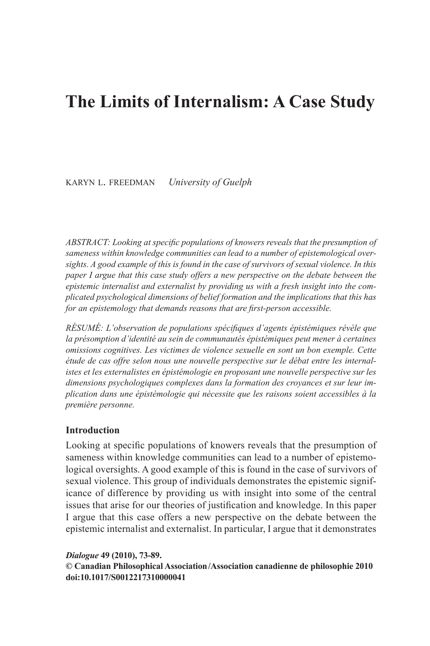# **The Limits of Internalism: A Case Study**

KARYN L. FREEDMAN *University of Guelph* 

*ABSTRACT: Looking at specific populations of knowers reveals that the presumption of sameness within knowledge communities can lead to a number of epistemological oversights. A good example of this is found in the case of survivors of sexual violence. In this paper I argue that this case study offers a new perspective on the debate between the epistemic internalist and externalist by providing us with a fresh insight into the complicated psychological dimensions of belief formation and the implications that this has for an epistemology that demands reasons that are first-person accessible.* 

*RÉSUMÉ: L'observation de populations spécifiques d'agents épistémiques révèle que la présomption d'identité au sein de communautés épistémiques peut mener à certaines omissions cognitives. Les victimes de violence sexuelle en sont un bon exemple. Cette étude de cas offre selon nous une nouvelle perspective sur le débat entre les internalistes et les externalistes en épistémologie en proposant une nouvelle perspective sur les dimensions psychologiques complexes dans la formation des croyances et sur leur implication dans une épistémologie qui nécessite que les raisons soient accessibles à la première personne.* 

# **Introduction**

Looking at specific populations of knowers reveals that the presumption of sameness within knowledge communities can lead to a number of epistemological oversights. A good example of this is found in the case of survivors of sexual violence. This group of individuals demonstrates the epistemic significance of difference by providing us with insight into some of the central issues that arise for our theories of justification and knowledge. In this paper I argue that this case offers a new perspective on the debate between the epistemic internalist and externalist. In particular, I argue that it demonstrates

#### *Dialogue* **49 (2010), 73- 89 . © Canadian Philosophical Association /Association canadienne de philosophie 2010 doi:10.1017/S0012217310000041**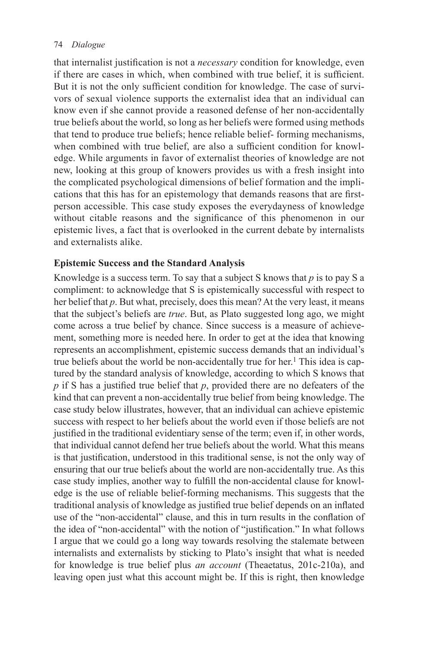that internalist justification is not a *necessary* condition for knowledge, even if there are cases in which, when combined with true belief, it is sufficient. But it is not the only sufficient condition for knowledge. The case of survivors of sexual violence supports the externalist idea that an individual can know even if she cannot provide a reasoned defense of her non-accidentally true beliefs about the world, so long as her beliefs were formed using methods that tend to produce true beliefs; hence reliable belief- forming mechanisms, when combined with true belief, are also a sufficient condition for knowledge. While arguments in favor of externalist theories of knowledge are not new, looking at this group of knowers provides us with a fresh insight into the complicated psychological dimensions of belief formation and the implications that this has for an epistemology that demands reasons that are firstperson accessible. This case study exposes the everydayness of knowledge without citable reasons and the significance of this phenomenon in our epistemic lives, a fact that is overlooked in the current debate by internalists and externalists alike.

# **Epistemic Success and the Standard Analysis**

 Knowledge is a success term. To say that a subject S knows that *p* is to pay S a compliment: to acknowledge that S is epistemically successful with respect to her belief that *p*. But what, precisely, does this mean? At the very least, it means that the subject's beliefs are *true* . But, as Plato suggested long ago, we might come across a true belief by chance. Since success is a measure of achievement, something more is needed here. In order to get at the idea that knowing represents an accomplishment, epistemic success demands that an individual's true beliefs about the world be non-accidentally true for her.<sup>1</sup> This idea is captured by the standard analysis of knowledge, according to which S knows that  $p$  if S has a justified true belief that  $p$ , provided there are no defeaters of the kind that can prevent a non-accidentally true belief from being knowledge. The case study below illustrates, however, that an individual can achieve epistemic success with respect to her beliefs about the world even if those beliefs are not justified in the traditional evidentiary sense of the term; even if, in other words, that individual cannot defend her true beliefs about the world. What this means is that justification, understood in this traditional sense, is not the only way of ensuring that our true beliefs about the world are non-accidentally true. As this case study implies, another way to fulfill the non-accidental clause for knowledge is the use of reliable belief-forming mechanisms. This suggests that the traditional analysis of knowledge as justified true belief depends on an inflated use of the "non-accidental" clause, and this in turn results in the conflation of the idea of "non-accidental" with the notion of "justification." In what follows I argue that we could go a long way towards resolving the stalemate between internalists and externalists by sticking to Plato's insight that what is needed for knowledge is true belief plus *an account* (Theaetatus, 201c-210a), and leaving open just what this account might be. If this is right, then knowledge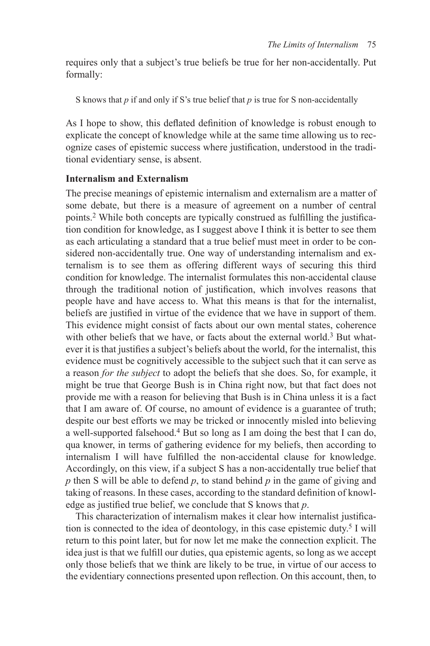requires only that a subject's true beliefs be true for her non-accidentally. Put formally:

S knows that *p* if and only if S's true belief that *p* is true for S non-accidentally

As I hope to show, this deflated definition of knowledge is robust enough to explicate the concept of knowledge while at the same time allowing us to recognize cases of epistemic success where justification, understood in the traditional evidentiary sense, is absent.

#### **Internalism and Externalism**

 The precise meanings of epistemic internalism and externalism are a matter of some debate, but there is a measure of agreement on a number of central points.<sup>2</sup> While both concepts are typically construed as fulfilling the justification condition for knowledge, as I suggest above I think it is better to see them as each articulating a standard that a true belief must meet in order to be considered non-accidentally true. One way of understanding internalism and externalism is to see them as offering different ways of securing this third condition for knowledge. The internalist formulates this non-accidental clause through the traditional notion of justification, which involves reasons that people have and have access to. What this means is that for the internalist, beliefs are justified in virtue of the evidence that we have in support of them. This evidence might consist of facts about our own mental states, coherence with other beliefs that we have, or facts about the external world.<sup>3</sup> But whatever it is that justifies a subject's beliefs about the world, for the internalist, this evidence must be cognitively accessible to the subject such that it can serve as a reason *for the subject* to adopt the beliefs that she does. So, for example, it might be true that George Bush is in China right now, but that fact does not provide me with a reason for believing that Bush is in China unless it is a fact that I am aware of. Of course, no amount of evidence is a guarantee of truth; despite our best efforts we may be tricked or innocently misled into believing a well-supported falsehood.<sup>4</sup> But so long as I am doing the best that I can do, qua knower, in terms of gathering evidence for my beliefs, then according to internalism I will have fulfilled the non-accidental clause for knowledge. Accordingly, on this view, if a subject S has a non-accidentally true belief that *p* then S will be able to defend *p* , to stand behind *p* in the game of giving and taking of reasons. In these cases, according to the standard definition of knowledge as justified true belief, we conclude that S knows that *p*.

This characterization of internalism makes it clear how internalist justification is connected to the idea of deontology, in this case epistemic duty.<sup>5</sup> I will return to this point later, but for now let me make the connection explicit. The idea just is that we fulfill our duties, qua epistemic agents, so long as we accept only those beliefs that we think are likely to be true, in virtue of our access to the evidentiary connections presented upon reflection. On this account, then, to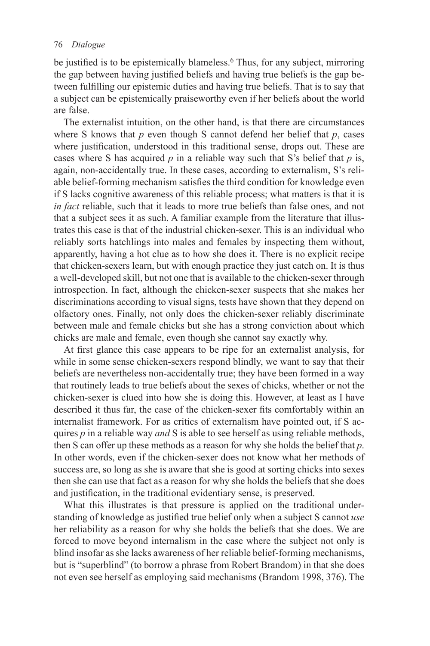be justified is to be epistemically blameless.<sup>6</sup> Thus, for any subject, mirroring the gap between having justified beliefs and having true beliefs is the gap between fulfilling our epistemic duties and having true beliefs. That is to say that a subject can be epistemically praiseworthy even if her beliefs about the world are false.

 The externalist intuition, on the other hand, is that there are circumstances where S knows that  $p$  even though S cannot defend her belief that  $p$ , cases where justification, understood in this traditional sense, drops out. These are cases where S has acquired  $p$  in a reliable way such that S's belief that  $p$  is, again, non-accidentally true. In these cases, according to externalism, S's reliable belief-forming mechanism satisfies the third condition for knowledge even if S lacks cognitive awareness of this reliable process; what matters is that it is *in fact* reliable, such that it leads to more true beliefs than false ones, and not that a subject sees it as such. A familiar example from the literature that illustrates this case is that of the industrial chicken-sexer. This is an individual who reliably sorts hatchlings into males and females by inspecting them without, apparently, having a hot clue as to how she does it. There is no explicit recipe that chicken-sexers learn, but with enough practice they just catch on. It is thus a well-developed skill, but not one that is available to the chicken-sexer through introspection. In fact, although the chicken-sexer suspects that she makes her discriminations according to visual signs, tests have shown that they depend on olfactory ones. Finally, not only does the chicken-sexer reliably discriminate between male and female chicks but she has a strong conviction about which chicks are male and female, even though she cannot say exactly why.

At first glance this case appears to be ripe for an externalist analysis, for while in some sense chicken-sexers respond blindly, we want to say that their beliefs are nevertheless non-accidentally true; they have been formed in a way that routinely leads to true beliefs about the sexes of chicks, whether or not the chicken-sexer is clued into how she is doing this. However, at least as I have described it thus far, the case of the chicken-sexer fits comfortably within an internalist framework. For as critics of externalism have pointed out, if S acquires *p* in a reliable way *and* S is able to see herself as using reliable methods, then S can offer up these methods as a reason for why she holds the belief that *p* . In other words, even if the chicken-sexer does not know what her methods of success are, so long as she is aware that she is good at sorting chicks into sexes then she can use that fact as a reason for why she holds the beliefs that she does and justification, in the traditional evidentiary sense, is preserved.

 What this illustrates is that pressure is applied on the traditional understanding of knowledge as justified true belief only when a subject S cannot *use* her reliability as a reason for why she holds the beliefs that she does. We are forced to move beyond internalism in the case where the subject not only is blind insofar as she lacks awareness of her reliable belief-forming mechanisms, but is "superblind" (to borrow a phrase from Robert Brandom) in that she does not even see herself as employing said mechanisms (Brandom 1998, 376). The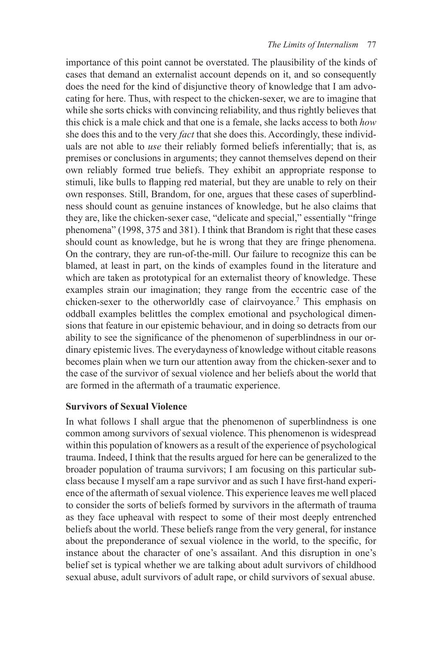importance of this point cannot be overstated. The plausibility of the kinds of cases that demand an externalist account depends on it, and so consequently does the need for the kind of disjunctive theory of knowledge that I am advocating for here. Thus, with respect to the chicken-sexer, we are to imagine that while she sorts chicks with convincing reliability, and thus rightly believes that this chick is a male chick and that one is a female, she lacks access to both *how* she does this and to the very *fact* that she does this. Accordingly, these individuals are not able to *use* their reliably formed beliefs inferentially; that is, as premises or conclusions in arguments; they cannot themselves depend on their own reliably formed true beliefs. They exhibit an appropriate response to stimuli, like bulls to flapping red material, but they are unable to rely on their own responses. Still, Brandom, for one, argues that these cases of superblindness should count as genuine instances of knowledge, but he also claims that they are, like the chicken-sexer case, "delicate and special," essentially "fringe phenomena" (1998, 375 and 381). I think that Brandom is right that these cases should count as knowledge, but he is wrong that they are fringe phenomena. On the contrary, they are run-of-the-mill. Our failure to recognize this can be blamed, at least in part, on the kinds of examples found in the literature and which are taken as prototypical for an externalist theory of knowledge. These examples strain our imagination; they range from the eccentric case of the chicken-sexer to the otherworldly case of clairvoyance.<sup>7</sup> This emphasis on oddball examples belittles the complex emotional and psychological dimensions that feature in our epistemic behaviour, and in doing so detracts from our ability to see the significance of the phenomenon of superblindness in our ordinary epistemic lives. The everydayness of knowledge without citable reasons becomes plain when we turn our attention away from the chicken-sexer and to the case of the survivor of sexual violence and her beliefs about the world that are formed in the aftermath of a traumatic experience.

# **Survivors of Sexual Violence**

 In what follows I shall argue that the phenomenon of superblindness is one common among survivors of sexual violence. This phenomenon is widespread within this population of knowers as a result of the experience of psychological trauma. Indeed, I think that the results argued for here can be generalized to the broader population of trauma survivors; I am focusing on this particular subclass because I myself am a rape survivor and as such I have first-hand experience of the aftermath of sexual violence. This experience leaves me well placed to consider the sorts of beliefs formed by survivors in the aftermath of trauma as they face upheaval with respect to some of their most deeply entrenched beliefs about the world. These beliefs range from the very general, for instance about the preponderance of sexual violence in the world, to the specific, for instance about the character of one's assailant. And this disruption in one's belief set is typical whether we are talking about adult survivors of childhood sexual abuse, adult survivors of adult rape, or child survivors of sexual abuse.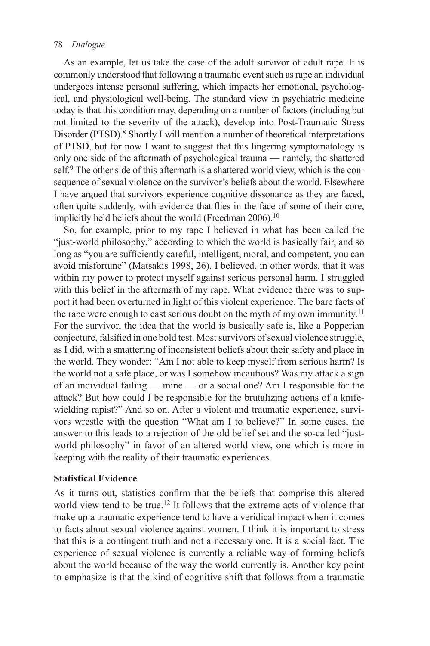As an example, let us take the case of the adult survivor of adult rape. It is commonly understood that following a traumatic event such as rape an individual undergoes intense personal suffering, which impacts her emotional, psychological, and physiological well-being. The standard view in psychiatric medicine today is that this condition may, depending on a number of factors (including but not limited to the severity of the attack), develop into Post-Traumatic Stress Disorder (PTSD).<sup>8</sup> Shortly I will mention a number of theoretical interpretations of PTSD, but for now I want to suggest that this lingering symptomatology is only one side of the aftermath of psychological trauma — namely, the shattered self.<sup>9</sup> The other side of this aftermath is a shattered world view, which is the consequence of sexual violence on the survivor's beliefs about the world. Elsewhere I have argued that survivors experience cognitive dissonance as they are faced, often quite suddenly, with evidence that flies in the face of some of their core, implicitly held beliefs about the world (Freedman  $2006$ ).<sup>10</sup>

 So, for example, prior to my rape I believed in what has been called the "just-world philosophy," according to which the world is basically fair, and so long as "you are sufficiently careful, intelligent, moral, and competent, you can avoid misfortune" (Matsakis 1998, 26). I believed, in other words, that it was within my power to protect myself against serious personal harm. I struggled with this belief in the aftermath of my rape. What evidence there was to support it had been overturned in light of this violent experience. The bare facts of the rape were enough to cast serious doubt on the myth of my own immunity.<sup>11</sup> For the survivor, the idea that the world is basically safe is, like a Popperian conjecture, falsified in one bold test. Most survivors of sexual violence struggle, as I did, with a smattering of inconsistent beliefs about their safety and place in the world. They wonder: "Am I not able to keep myself from serious harm? Is the world not a safe place, or was I somehow incautious? Was my attack a sign of an individual failing — mine — or a social one? Am I responsible for the attack? But how could I be responsible for the brutalizing actions of a knifewielding rapist?" And so on. After a violent and traumatic experience, survivors wrestle with the question "What am I to believe?" In some cases, the answer to this leads to a rejection of the old belief set and the so-called "justworld philosophy" in favor of an altered world view, one which is more in keeping with the reality of their traumatic experiences.

# **Statistical Evidence**

As it turns out, statistics confirm that the beliefs that comprise this altered world view tend to be true.<sup>12</sup> It follows that the extreme acts of violence that make up a traumatic experience tend to have a veridical impact when it comes to facts about sexual violence against women. I think it is important to stress that this is a contingent truth and not a necessary one. It is a social fact. The experience of sexual violence is currently a reliable way of forming beliefs about the world because of the way the world currently is. Another key point to emphasize is that the kind of cognitive shift that follows from a traumatic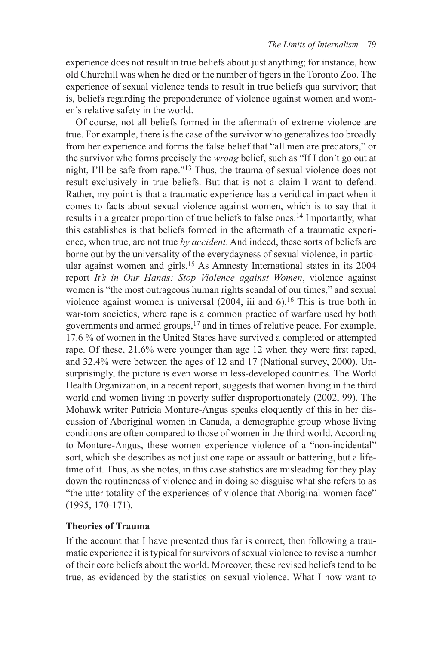experience does not result in true beliefs about just anything; for instance, how old Churchill was when he died or the number of tigers in the Toronto Zoo. The experience of sexual violence tends to result in true beliefs qua survivor; that is, beliefs regarding the preponderance of violence against women and women's relative safety in the world.

 Of course, not all beliefs formed in the aftermath of extreme violence are true. For example, there is the case of the survivor who generalizes too broadly from her experience and forms the false belief that "all men are predators," or the survivor who forms precisely the *wrong* belief, such as "If I don't go out at night, I'll be safe from rape."<sup>13</sup> Thus, the trauma of sexual violence does not result exclusively in true beliefs. But that is not a claim I want to defend. Rather, my point is that a traumatic experience has a veridical impact when it comes to facts about sexual violence against women, which is to say that it results in a greater proportion of true beliefs to false ones. 14 Importantly, what this establishes is that beliefs formed in the aftermath of a traumatic experience, when true, are not true *by accident* . And indeed, these sorts of beliefs are borne out by the universality of the everydayness of sexual violence, in particular against women and girls. 15 As Amnesty International states in its 2004 report *It's in Our Hands: Stop Violence against Women*, violence against women is "the most outrageous human rights scandal of our times," and sexual violence against women is universal  $(2004, 11)$  and 6).<sup>16</sup> This is true both in war-torn societies, where rape is a common practice of warfare used by both governments and armed groups, 17 and in times of relative peace. For example, 17.6 % of women in the United States have survived a completed or attempted rape. Of these, 21.6% were younger than age 12 when they were first raped, and 32.4% were between the ages of 12 and 17 (National survey, 2000). Unsurprisingly, the picture is even worse in less-developed countries. The World Health Organization, in a recent report, suggests that women living in the third world and women living in poverty suffer disproportionately (2002, 99). The Mohawk writer Patricia Monture-Angus speaks eloquently of this in her discussion of Aboriginal women in Canada, a demographic group whose living conditions are often compared to those of women in the third world. According to Monture-Angus, these women experience violence of a "non-incidental" sort, which she describes as not just one rape or assault or battering, but a lifetime of it. Thus, as she notes, in this case statistics are misleading for they play down the routineness of violence and in doing so disguise what she refers to as "the utter totality of the experiences of violence that Aboriginal women face" (1995, 170-171).

# **Theories of Trauma**

 If the account that I have presented thus far is correct, then following a traumatic experience it is typical for survivors of sexual violence to revise a number of their core beliefs about the world. Moreover, these revised beliefs tend to be true, as evidenced by the statistics on sexual violence. What I now want to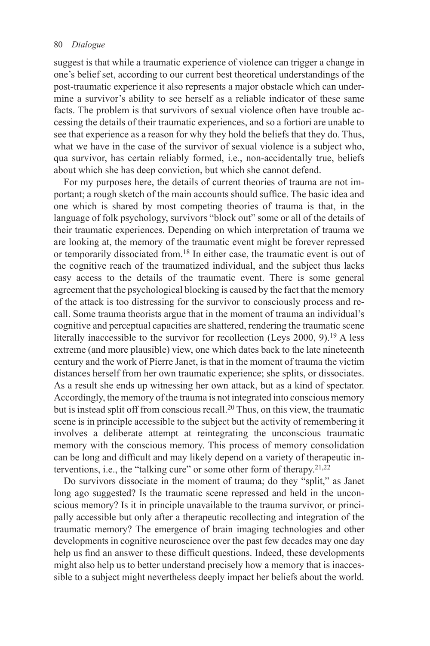suggest is that while a traumatic experience of violence can trigger a change in one's belief set, according to our current best theoretical understandings of the post-traumatic experience it also represents a major obstacle which can undermine a survivor's ability to see herself as a reliable indicator of these same facts. The problem is that survivors of sexual violence often have trouble accessing the details of their traumatic experiences, and so a fortiori are unable to see that experience as a reason for why they hold the beliefs that they do. Thus, what we have in the case of the survivor of sexual violence is a subject who, qua survivor, has certain reliably formed, i.e., non-accidentally true, beliefs about which she has deep conviction, but which she cannot defend.

 For my purposes here, the details of current theories of trauma are not important; a rough sketch of the main accounts should suffice. The basic idea and one which is shared by most competing theories of trauma is that, in the language of folk psychology, survivors "block out" some or all of the details of their traumatic experiences. Depending on which interpretation of trauma we are looking at, the memory of the traumatic event might be forever repressed or temporarily dissociated from. 18 In either case, the traumatic event is out of the cognitive reach of the traumatized individual, and the subject thus lacks easy access to the details of the traumatic event. There is some general agreement that the psychological blocking is caused by the fact that the memory of the attack is too distressing for the survivor to consciously process and recall. Some trauma theorists argue that in the moment of trauma an individual's cognitive and perceptual capacities are shattered, rendering the traumatic scene literally inaccessible to the survivor for recollection (Leys 2000, 9).<sup>19</sup> A less extreme (and more plausible) view, one which dates back to the late nineteenth century and the work of Pierre Janet, is that in the moment of trauma the victim distances herself from her own traumatic experience; she splits, or dissociates. As a result she ends up witnessing her own attack, but as a kind of spectator. Accordingly, the memory of the trauma is not integrated into conscious memory but is instead split off from conscious recall. 20 Thus, on this view, the traumatic scene is in principle accessible to the subject but the activity of remembering it involves a deliberate attempt at reintegrating the unconscious traumatic memory with the conscious memory. This process of memory consolidation can be long and difficult and may likely depend on a variety of therapeutic interventions, i.e., the "talking cure" or some other form of therapy.<sup>21,22</sup>

 Do survivors dissociate in the moment of trauma; do they "split," as Janet long ago suggested? Is the traumatic scene repressed and held in the unconscious memory? Is it in principle unavailable to the trauma survivor, or principally accessible but only after a therapeutic recollecting and integration of the traumatic memory? The emergence of brain imaging technologies and other developments in cognitive neuroscience over the past few decades may one day help us find an answer to these difficult questions. Indeed, these developments might also help us to better understand precisely how a memory that is inaccessible to a subject might nevertheless deeply impact her beliefs about the world.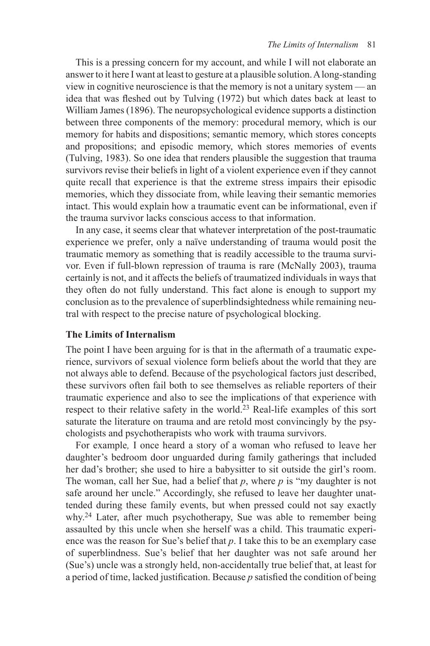This is a pressing concern for my account, and while I will not elaborate an answer to it here I want at least to gesture at a plausible solution. A long-standing view in cognitive neuroscience is that the memory is not a unitary system — an idea that was fleshed out by Tulving (1972) but which dates back at least to William James (1896). The neuropsychological evidence supports a distinction between three components of the memory: procedural memory, which is our memory for habits and dispositions; semantic memory, which stores concepts and propositions; and episodic memory, which stores memories of events (Tulving, 1983). So one idea that renders plausible the suggestion that trauma survivors revise their beliefs in light of a violent experience even if they cannot quite recall that experience is that the extreme stress impairs their episodic memories, which they dissociate from, while leaving their semantic memories intact. This would explain how a traumatic event can be informational, even if the trauma survivor lacks conscious access to that information.

 In any case, it seems clear that whatever interpretation of the post-traumatic experience we prefer, only a naïve understanding of trauma would posit the traumatic memory as something that is readily accessible to the trauma survivor. Even if full-blown repression of trauma is rare (McNally 2003 ), trauma certainly is not, and it affects the beliefs of traumatized individuals in ways that they often do not fully understand. This fact alone is enough to support my conclusion as to the prevalence of superblindsightedness while remaining neutral with respect to the precise nature of psychological blocking.

# **The Limits of Internalism**

 The point I have been arguing for is that in the aftermath of a traumatic experience, survivors of sexual violence form beliefs about the world that they are not always able to defend. Because of the psychological factors just described, these survivors often fail both to see themselves as reliable reporters of their traumatic experience and also to see the implications of that experience with respect to their relative safety in the world.<sup>23</sup> Real-life examples of this sort saturate the literature on trauma and are retold most convincingly by the psychologists and psychotherapists who work with trauma survivors.

For example, I once heard a story of a woman who refused to leave her daughter's bedroom door unguarded during family gatherings that included her dad's brother; she used to hire a babysitter to sit outside the girl's room. The woman, call her Sue, had a belief that  $p$ , where  $p$  is "my daughter is not safe around her uncle." Accordingly, she refused to leave her daughter unattended during these family events, but when pressed could not say exactly why.<sup>24</sup> Later, after much psychotherapy, Sue was able to remember being assaulted by this uncle when she herself was a child. This traumatic experience was the reason for Sue's belief that  $p$ . I take this to be an exemplary case of superblindness. Sue's belief that her daughter was not safe around her (Sue's) uncle was a strongly held, non-accidentally true belief that, at least for a period of time, lacked justification. Because  $p$  satisfied the condition of being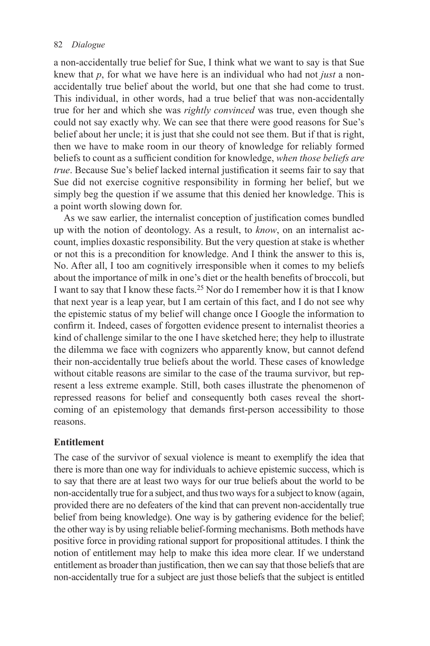a non-accidentally true belief for Sue, I think what we want to say is that Sue knew that *p*, for what we have here is an individual who had not *just* a nonaccidentally true belief about the world, but one that she had come to trust. This individual, in other words, had a true belief that was non-accidentally true for her and which she was *rightly convinced* was true, even though she could not say exactly why. We can see that there were good reasons for Sue's belief about her uncle; it is just that she could not see them. But if that is right, then we have to make room in our theory of knowledge for reliably formed beliefs to count as a sufficient condition for knowledge, *when those beliefs are true*. Because Sue's belief lacked internal justification it seems fair to say that Sue did not exercise cognitive responsibility in forming her belief, but we simply beg the question if we assume that this denied her knowledge. This is a point worth slowing down for.

As we saw earlier, the internalist conception of justification comes bundled up with the notion of deontology. As a result, to *know* , on an internalist account, implies doxastic responsibility. But the very question at stake is whether or not this is a precondition for knowledge. And I think the answer to this is, No. After all, I too am cognitively irresponsible when it comes to my beliefs about the importance of milk in one's diet or the health benefits of broccoli, but I want to say that I know these facts. 25 Nor do I remember how it is that I know that next year is a leap year, but I am certain of this fact, and I do not see why the epistemic status of my belief will change once I Google the information to confirm it. Indeed, cases of forgotten evidence present to internalist theories a kind of challenge similar to the one I have sketched here; they help to illustrate the dilemma we face with cognizers who apparently know, but cannot defend their non-accidentally true beliefs about the world. These cases of knowledge without citable reasons are similar to the case of the trauma survivor, but represent a less extreme example. Still, both cases illustrate the phenomenon of repressed reasons for belief and consequently both cases reveal the shortcoming of an epistemology that demands first-person accessibility to those reasons.

# **Entitlement**

 The case of the survivor of sexual violence is meant to exemplify the idea that there is more than one way for individuals to achieve epistemic success, which is to say that there are at least two ways for our true beliefs about the world to be non-accidentally true for a subject, and thus two ways for a subject to know (again, provided there are no defeaters of the kind that can prevent non-accidentally true belief from being knowledge). One way is by gathering evidence for the belief; the other way is by using reliable belief-forming mechanisms. Both methods have positive force in providing rational support for propositional attitudes. I think the notion of entitlement may help to make this idea more clear. If we understand entitlement as broader than justification, then we can say that those beliefs that are non-accidentally true for a subject are just those beliefs that the subject is entitled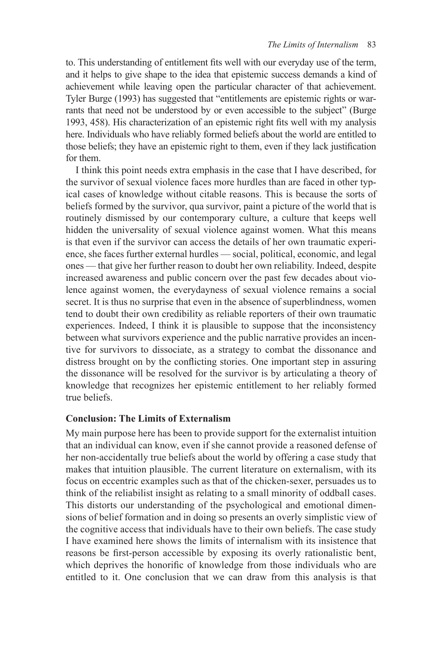to. This understanding of entitlement fits well with our everyday use of the term, and it helps to give shape to the idea that epistemic success demands a kind of achievement while leaving open the particular character of that achievement. Tyler Burge (1993) has suggested that "entitlements are epistemic rights or warrants that need not be understood by or even accessible to the subject" (Burge 1993, 458). His characterization of an epistemic right fits well with my analysis here. Individuals who have reliably formed beliefs about the world are entitled to those beliefs; they have an epistemic right to them, even if they lack justification for them.

 I think this point needs extra emphasis in the case that I have described, for the survivor of sexual violence faces more hurdles than are faced in other typical cases of knowledge without citable reasons. This is because the sorts of beliefs formed by the survivor, qua survivor, paint a picture of the world that is routinely dismissed by our contemporary culture, a culture that keeps well hidden the universality of sexual violence against women. What this means is that even if the survivor can access the details of her own traumatic experience, she faces further external hurdles — social, political, economic, and legal ones — that give her further reason to doubt her own reliability. Indeed, despite increased awareness and public concern over the past few decades about violence against women, the everydayness of sexual violence remains a social secret. It is thus no surprise that even in the absence of superblindness, women tend to doubt their own credibility as reliable reporters of their own traumatic experiences. Indeed, I think it is plausible to suppose that the inconsistency between what survivors experience and the public narrative provides an incentive for survivors to dissociate, as a strategy to combat the dissonance and distress brought on by the conflicting stories. One important step in assuring the dissonance will be resolved for the survivor is by articulating a theory of knowledge that recognizes her epistemic entitlement to her reliably formed true beliefs.

# **Conclusion: The Limits of Externalism**

 My main purpose here has been to provide support for the externalist intuition that an individual can know, even if she cannot provide a reasoned defense of her non-accidentally true beliefs about the world by offering a case study that makes that intuition plausible. The current literature on externalism, with its focus on eccentric examples such as that of the chicken-sexer, persuades us to think of the reliabilist insight as relating to a small minority of oddball cases. This distorts our understanding of the psychological and emotional dimensions of belief formation and in doing so presents an overly simplistic view of the cognitive access that individuals have to their own beliefs. The case study I have examined here shows the limits of internalism with its insistence that reasons be first-person accessible by exposing its overly rationalistic bent, which deprives the honorific of knowledge from those individuals who are entitled to it. One conclusion that we can draw from this analysis is that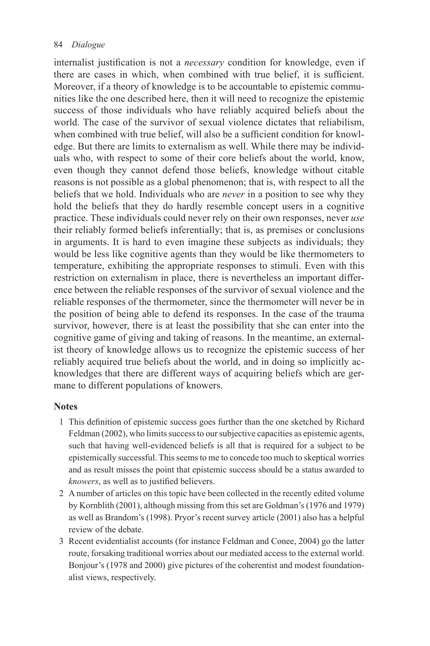internalist justification is not a *necessary* condition for knowledge, even if there are cases in which, when combined with true belief, it is sufficient. Moreover, if a theory of knowledge is to be accountable to epistemic communities like the one described here, then it will need to recognize the epistemic success of those individuals who have reliably acquired beliefs about the world. The case of the survivor of sexual violence dictates that reliabilism, when combined with true belief, will also be a sufficient condition for knowledge. But there are limits to externalism as well. While there may be individuals who, with respect to some of their core beliefs about the world, know, even though they cannot defend those beliefs, knowledge without citable reasons is not possible as a global phenomenon; that is, with respect to all the beliefs that we hold. Individuals who are *never* in a position to see why they hold the beliefs that they do hardly resemble concept users in a cognitive practice. These individuals could never rely on their own responses, never *use* their reliably formed beliefs inferentially; that is, as premises or conclusions in arguments. It is hard to even imagine these subjects as individuals; they would be less like cognitive agents than they would be like thermometers to temperature, exhibiting the appropriate responses to stimuli. Even with this restriction on externalism in place, there is nevertheless an important difference between the reliable responses of the survivor of sexual violence and the reliable responses of the thermometer, since the thermometer will never be in the position of being able to defend its responses. In the case of the trauma survivor, however, there is at least the possibility that she can enter into the cognitive game of giving and taking of reasons. In the meantime, an externalist theory of knowledge allows us to recognize the epistemic success of her reliably acquired true beliefs about the world, and in doing so implicitly acknowledges that there are different ways of acquiring beliefs which are germane to different populations of knowers.

# **Notes**

- 1 This definition of epistemic success goes further than the one sketched by Richard Feldman (2002), who limits success to our subjective capacities as epistemic agents, such that having well-evidenced beliefs is all that is required for a subject to be epistemically successful. This seems to me to concede too much to skeptical worries and as result misses the point that epistemic success should be a status awarded to *knowers*, as well as to justified believers.
- 2 A number of articles on this topic have been collected in the recently edited volume by Kornblith (2001), although missing from this set are Goldman's (1976 and 1979) as well as Brandom's (1998). Pryor's recent survey article (2001) also has a helpful review of the debate.
- 3 Recent evidentialist accounts (for instance Feldman and Conee, 2004) go the latter route, forsaking traditional worries about our mediated access to the external world. Bonjour's (1978 and 2000) give pictures of the coherentist and modest foundationalist views, respectively.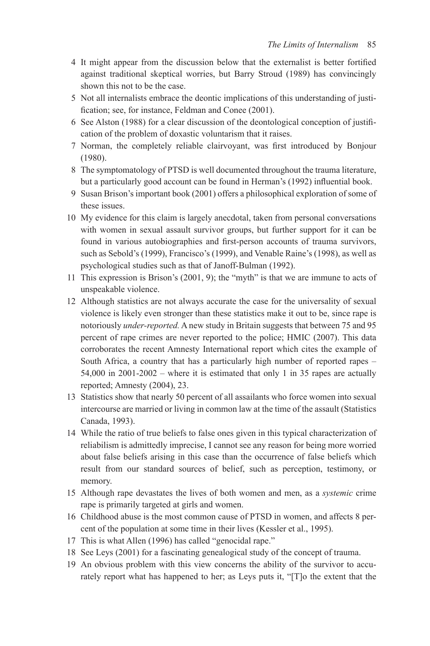- 4 It might appear from the discussion below that the externalist is better fortified against traditional skeptical worries, but Barry Stroud (1989) has convincingly shown this not to be the case.
- 5 Not all internalists embrace the deontic implications of this understanding of justification; see, for instance, Feldman and Conee (2001).
- 6 See Alston (1988) for a clear discussion of the deontological conception of justification of the problem of doxastic voluntarism that it raises.
- 7 Norman, the completely reliable clairvoyant, was first introduced by Bonjour  $(1980)$ .
- 8 The symptomatology of PTSD is well documented throughout the trauma literature, but a particularly good account can be found in Herman's (1992) influential book.
- 9 Susan Brison's important book (2001) offers a philosophical exploration of some of these issues.
- 10 My evidence for this claim is largely anecdotal, taken from personal conversations with women in sexual assault survivor groups, but further support for it can be found in various autobiographies and first-person accounts of trauma survivors, such as Sebold's (1999), Francisco's (1999), and Venable Raine's (1998), as well as psychological studies such as that of Janoff-Bulman (1992).
- 11 This expression is Brison's (2001, 9); the "myth" is that we are immune to acts of unspeakable violence.
- 12 Although statistics are not always accurate the case for the universality of sexual violence is likely even stronger than these statistics make it out to be, since rape is notoriously *under-reported.* A new study in Britain suggests that between 75 and 95 percent of rape crimes are never reported to the police; HMIC (2007). This data corroborates the recent Amnesty International report which cites the example of South Africa, a country that has a particularly high number of reported rapes – 54,000 in 2001-2002 – where it is estimated that only 1 in 35 rapes are actually reported; Amnesty (2004), 23.
- 13 Statistics show that nearly 50 percent of all assailants who force women into sexual intercourse are married or living in common law at the time of the assault (Statistics Canada, 1993).
- 14 While the ratio of true beliefs to false ones given in this typical characterization of reliabilism is admittedly imprecise, I cannot see any reason for being more worried about false beliefs arising in this case than the occurrence of false beliefs which result from our standard sources of belief, such as perception, testimony, or memory.
- 15 Although rape devastates the lives of both women and men, as a *systemic* crime rape is primarily targeted at girls and women.
- 16 Childhood abuse is the most common cause of PTSD in women, and affects 8 percent of the population at some time in their lives (Kessler et al., 1995).
- 17 This is what Allen (1996) has called "genocidal rape."
- 18 See Leys (2001) for a fascinating genealogical study of the concept of trauma.
- 19 An obvious problem with this view concerns the ability of the survivor to accurately report what has happened to her; as Leys puts it, "[T]o the extent that the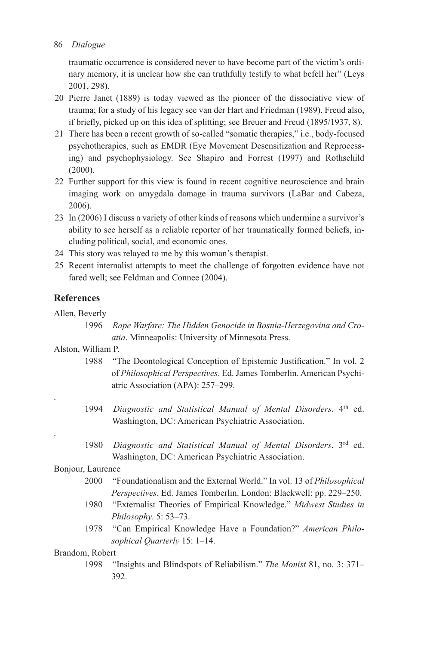traumatic occurrence is considered never to have become part of the victim's ordinary memory, it is unclear how she can truthfully testify to what befell her" (Leys 2001, 298).

- 20 Pierre Janet (1889) is today viewed as the pioneer of the dissociative view of trauma; for a study of his legacy see van der Hart and Friedman ( 1989 ). Freud also, if briefly, picked up on this idea of splitting; see Breuer and Freud (1895/1937, 8).
- 21 There has been a recent growth of so-called "somatic therapies," i.e., body-focused psychotherapies, such as EMDR (Eye Movement Desensitization and Reprocessing) and psychophysiology. See Shapiro and Forrest (1997) and Rothschild  $(2000)$ .
- 22 Further support for this view is found in recent cognitive neuroscience and brain imaging work on amygdala damage in trauma survivors (LaBar and Cabeza, 2006).
- 23 In (2006) I discuss a variety of other kinds of reasons which undermine a survivor's ability to see herself as a reliable reporter of her traumatically formed beliefs, including political, social, and economic ones.
- 24 This story was relayed to me by this woman's therapist.
- 25 Recent internalist attempts to meet the challenge of forgotten evidence have not fared well; see Feldman and Connee (2004).

# **References**

Allen, Beverly

.

.

 1996 *Rape Warfare: The Hidden Genocide in Bosnia-Herzegovina and Cro*atia. Minneapolis: University of Minnesota Press.

# Alston, William P.

- 1988 "The Deontological Conception of Epistemic Justification." In vol. 2 of *Philosophical Perspectives* . Ed. James Tomberlin . American Psychiatric Association (APA): 257-299.
- 1994 *Diagnostic and Statistical Manual of Mental Disorders*. 4<sup>th</sup> ed. Washington, DC: American Psychiatric Association.
- 1980 *Diagnostic and Statistical Manual of Mental Disorders*. 3rd ed. Washington, DC: American Psychiatric Association.

# Bonjour, Laurence

- 2000 " Foundationalism and the External World ." In vol. 13 of *Philosophical Perspectives*. Ed. James Tomberlin. London: Blackwell: pp. 229–250.
- 1980 " Externalist Theories of Empirical Knowledge ." *Midwest Studies in Philosophy*. 5: 53–73.
- 1978 " Can Empirical Knowledge Have a Foundation? " *American Philo*sophical Quarterly 15: 1-14.

# Brandom, Robert

 1998 " Insights and Blindspots of Reliabilism ." *The Monist* 81 , no. 3: 371 – 392.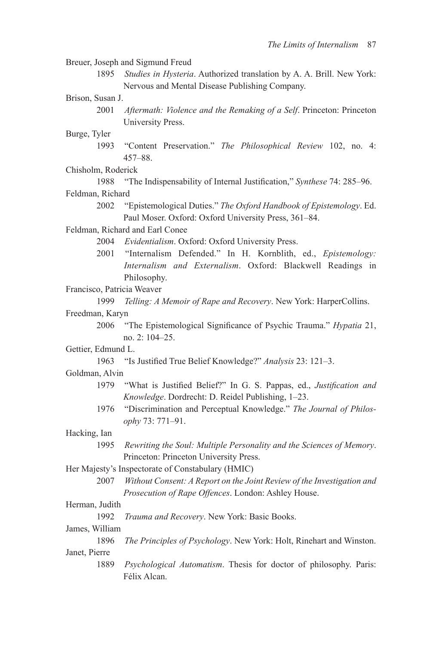Breuer, Joseph and Sigmund Freud 1895 *Studies in Hysteria*. Authorized translation by A. A. Brill. New York: Nervous and Mental Disease Publishing Company. Brison, Susan J. 2001 *Aftermath: Violence and the Remaking of a Self.* Princeton: Princeton University Press. Burge, Tyler 1993 "Content Preservation." The Philosophical Review 102, no. 4: 457 –88. Chisholm, Roderick 1988 "The Indispensability of Internal Justification," *Synthese* 74: 285–96. Feldman, Richard 2002 " Epistemological Duties ." *The Oxford Handbook of Epistemology* . Ed. Paul Moser. Oxford: Oxford University Press, 361-84. Feldman, Richard and Earl Conee 2004 *Evidentialism*. Oxford: Oxford University Press. 2001 "Internalism Defended." In H. Kornblith, ed., *Epistemology*: *Internalism and Externalism*. Oxford: Blackwell Readings in Philosophy. Francisco, Patricia Weaver 1999 *Telling: A Memoir of Rape and Recovery*. New York: HarperCollins. Freedman, Karyn 2006 "The Epistemological Significance of Psychic Trauma." *Hypatia* 21, no. 2: 104-25. Gettier, Edmund L. 1963 "Is Justified True Belief Knowledge?" *Analysis* 23: 121–3. Goldman, Alvin 1979 "What is Justified Belief?" In G. S. Pappas, ed., *Justification and Knowledge*. Dordrecht: D. Reidel Publishing, 1-23. 1976 " Discrimination and Perceptual Knowledge ." *The Journal of Philosophy* 73 : 771 –91. Hacking, Ian 1995 *Rewriting the Soul: Multiple Personality and the Sciences of Memory* . Princeton: Princeton University Press. Her Majesty's Inspectorate of Constabulary (HMIC) 2007 *Without Consent: A Report on the Joint Review of the Investigation and*  Prosecution of Rape Offences. London: Ashley House. Herman, Judith 1992 *Trauma and Recovery*. New York: Basic Books. James, William 1896 *The Principles of Psychology*. New York: Holt, Rinehart and Winston. Janet, Pierre 1889 *Psychological Automatism*. Thesis for doctor of philosophy. Paris: Félix Alcan.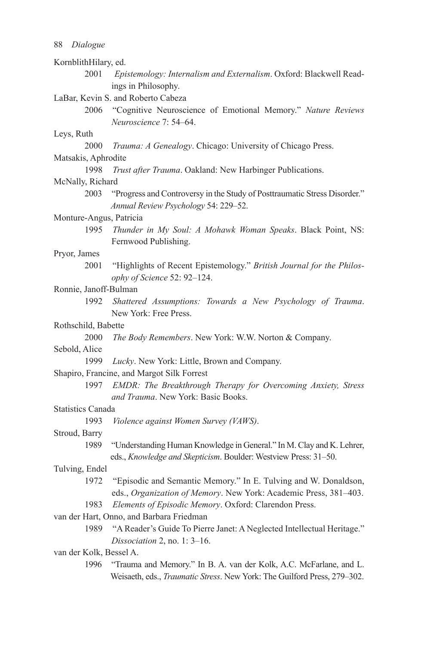| KornblithHilary, ed.                       |                                                                                                                                                |
|--------------------------------------------|------------------------------------------------------------------------------------------------------------------------------------------------|
| 2001                                       | Epistemology: Internalism and Externalism. Oxford: Blackwell Read-                                                                             |
|                                            | ings in Philosophy.                                                                                                                            |
| LaBar, Kevin S. and Roberto Cabeza         |                                                                                                                                                |
| 2006                                       | "Cognitive Neuroscience of Emotional Memory." Nature Reviews                                                                                   |
|                                            | Neuroscience 7: 54-64.                                                                                                                         |
| Leys, Ruth                                 |                                                                                                                                                |
| 2000                                       | Trauma: A Genealogy. Chicago: University of Chicago Press.                                                                                     |
| Matsakis, Aphrodite                        |                                                                                                                                                |
| 1998                                       | Trust after Trauma. Oakland: New Harbinger Publications.                                                                                       |
| McNally, Richard                           |                                                                                                                                                |
| 2003                                       | "Progress and Controversy in the Study of Posttraumatic Stress Disorder."<br>Annual Review Psychology 54: 229-52.                              |
| Monture-Angus, Patricia                    |                                                                                                                                                |
| 1995                                       | Thunder in My Soul: A Mohawk Woman Speaks. Black Point, NS:<br>Fernwood Publishing.                                                            |
| Pryor, James                               |                                                                                                                                                |
| 2001                                       | "Highlights of Recent Epistemology." British Journal for the Philos-<br>ophy of Science 52: 92-124.                                            |
| Ronnie, Janoff-Bulman                      |                                                                                                                                                |
| 1992                                       | Shattered Assumptions: Towards a New Psychology of Trauma.<br>New York: Free Press.                                                            |
| Rothschild, Babette                        |                                                                                                                                                |
| 2000                                       | The Body Remembers. New York: W.W. Norton & Company.                                                                                           |
| Sebold, Alice                              |                                                                                                                                                |
| 1999                                       | Lucky. New York: Little, Brown and Company.                                                                                                    |
| Shapiro, Francine, and Margot Silk Forrest |                                                                                                                                                |
| 1997                                       | EMDR: The Breakthrough Therapy for Overcoming Anxiety, Stress<br>and Trauma. New York: Basic Books.                                            |
| <b>Statistics Canada</b>                   |                                                                                                                                                |
| 1993                                       | Violence against Women Survey (VAWS).                                                                                                          |
| Stroud, Barry                              |                                                                                                                                                |
| 1989                                       | "Understanding Human Knowledge in General." In M. Clay and K. Lehrer,                                                                          |
|                                            | eds., Knowledge and Skepticism. Boulder: Westview Press: 31-50.                                                                                |
| Tulving, Endel                             |                                                                                                                                                |
| 1972                                       | "Episodic and Semantic Memory." In E. Tulving and W. Donaldson,                                                                                |
|                                            | eds., Organization of Memory. New York: Academic Press, 381-403.                                                                               |
| 1983                                       | Elements of Episodic Memory. Oxford: Clarendon Press.                                                                                          |
| van der Hart, Onno, and Barbara Friedman   |                                                                                                                                                |
| 1989                                       | "A Reader's Guide To Pierre Janet: A Neglected Intellectual Heritage."                                                                         |
|                                            | Dissociation 2, no. 1: 3-16.                                                                                                                   |
| van der Kolk, Bessel A.                    |                                                                                                                                                |
| 1996                                       | "Trauma and Memory." In B. A. van der Kolk, A.C. McFarlane, and L.<br>Weisaeth, eds., Traumatic Stress. New York: The Guilford Press, 279-302. |